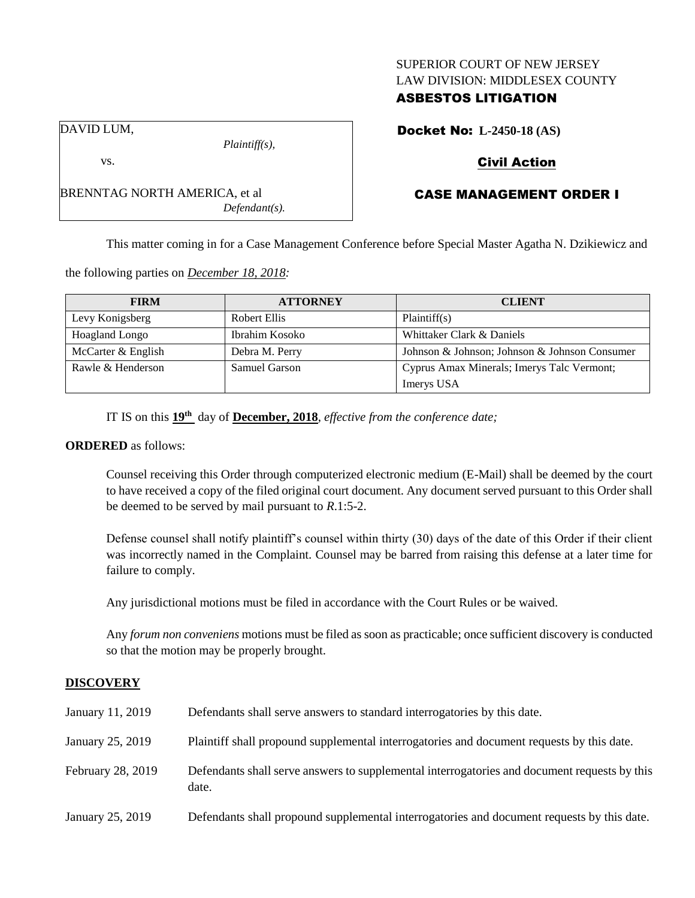## SUPERIOR COURT OF NEW JERSEY LAW DIVISION: MIDDLESEX COUNTY

# ASBESTOS LITIGATION

Docket No: **L-2450-18 (AS)**

# Civil Action

# CASE MANAGEMENT ORDER I

This matter coming in for a Case Management Conference before Special Master Agatha N. Dzikiewicz and

the following parties on *December 18, 2018:*

BRENNTAG NORTH AMERICA, et al

*Plaintiff(s),*

*Defendant(s).*

| <b>FIRM</b>           | <b>ATTORNEY</b>      | <b>CLIENT</b>                                 |
|-----------------------|----------------------|-----------------------------------------------|
| Levy Konigsberg       | Robert Ellis         | Plaintiff(s)                                  |
| <b>Hoagland Longo</b> | Ibrahim Kosoko       | Whittaker Clark & Daniels                     |
| McCarter & English    | Debra M. Perry       | Johnson & Johnson; Johnson & Johnson Consumer |
| Rawle & Henderson     | <b>Samuel Garson</b> | Cyprus Amax Minerals; Imerys Talc Vermont;    |
|                       |                      | Imerys USA                                    |

IT IS on this **19th** day of **December, 2018**, *effective from the conference date;*

#### **ORDERED** as follows:

Counsel receiving this Order through computerized electronic medium (E-Mail) shall be deemed by the court to have received a copy of the filed original court document. Any document served pursuant to this Order shall be deemed to be served by mail pursuant to *R*.1:5-2.

Defense counsel shall notify plaintiff's counsel within thirty (30) days of the date of this Order if their client was incorrectly named in the Complaint. Counsel may be barred from raising this defense at a later time for failure to comply.

Any jurisdictional motions must be filed in accordance with the Court Rules or be waived.

Any *forum non conveniens* motions must be filed as soon as practicable; once sufficient discovery is conducted so that the motion may be properly brought.

# **DISCOVERY**

| January 11, 2019  | Defendants shall serve answers to standard interrogatories by this date.                              |
|-------------------|-------------------------------------------------------------------------------------------------------|
| January 25, 2019  | Plaintiff shall propound supplemental interrogatories and document requests by this date.             |
| February 28, 2019 | Defendants shall serve answers to supplemental interrogatories and document requests by this<br>date. |
| January 25, 2019  | Defendants shall propound supplemental interrogatories and document requests by this date.            |

DAVID LUM,

vs.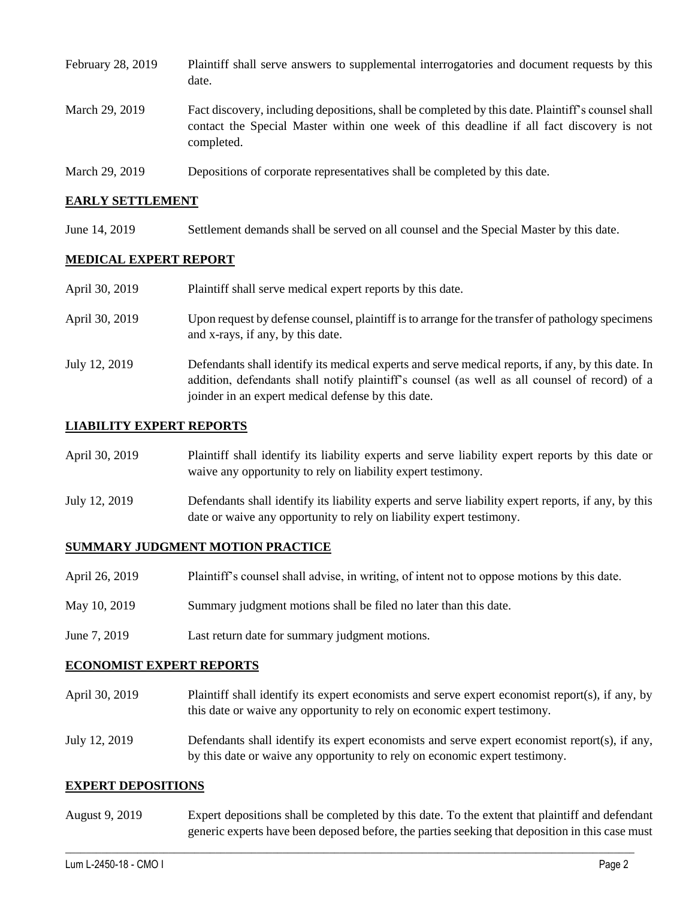| February 28, 2019 | Plaintiff shall serve answers to supplemental interrogatories and document requests by this<br>date.                                                                                                        |
|-------------------|-------------------------------------------------------------------------------------------------------------------------------------------------------------------------------------------------------------|
| March 29, 2019    | Fact discovery, including depositions, shall be completed by this date. Plaintiff's counsel shall<br>contact the Special Master within one week of this deadline if all fact discovery is not<br>completed. |
| March 29, 2019    | Depositions of corporate representatives shall be completed by this date.                                                                                                                                   |

## **EARLY SETTLEMENT**

June 14, 2019 Settlement demands shall be served on all counsel and the Special Master by this date.

### **MEDICAL EXPERT REPORT**

| April 30, 2019 | Plaintiff shall serve medical expert reports by this date.                                                                                                                                                                                               |
|----------------|----------------------------------------------------------------------------------------------------------------------------------------------------------------------------------------------------------------------------------------------------------|
| April 30, 2019 | Upon request by defense counsel, plaintiff is to arrange for the transfer of pathology specimens<br>and x-rays, if any, by this date.                                                                                                                    |
| July 12, 2019  | Defendants shall identify its medical experts and serve medical reports, if any, by this date. In<br>addition, defendants shall notify plaintiff's counsel (as well as all counsel of record) of a<br>joinder in an expert medical defense by this date. |

### **LIABILITY EXPERT REPORTS**

| April 30, 2019 | Plaintiff shall identify its liability experts and serve liability expert reports by this date or<br>waive any opportunity to rely on liability expert testimony.           |
|----------------|-----------------------------------------------------------------------------------------------------------------------------------------------------------------------------|
| July 12, 2019  | Defendants shall identify its liability experts and serve liability expert reports, if any, by this<br>date or waive any opportunity to rely on liability expert testimony. |

## **SUMMARY JUDGMENT MOTION PRACTICE**

| April 26, 2019 | Plaintiff's counsel shall advise, in writing, of intent not to oppose motions by this date. |
|----------------|---------------------------------------------------------------------------------------------|
| May 10, 2019   | Summary judgment motions shall be filed no later than this date.                            |
| June 7, 2019   | Last return date for summary judgment motions.                                              |

#### **ECONOMIST EXPERT REPORTS**

| April 30, 2019 | Plaintiff shall identify its expert economists and serve expert economist report(s), if any, by<br>this date or waive any opportunity to rely on economic expert testimony. |
|----------------|-----------------------------------------------------------------------------------------------------------------------------------------------------------------------------|
| July 12, 2019  | Defendants shall identify its expert economists and serve expert economist report $(s)$ , if any,                                                                           |

by this date or waive any opportunity to rely on economic expert testimony.

#### **EXPERT DEPOSITIONS**

August 9, 2019 Expert depositions shall be completed by this date. To the extent that plaintiff and defendant generic experts have been deposed before, the parties seeking that deposition in this case must

 $\_$  ,  $\_$  ,  $\_$  ,  $\_$  ,  $\_$  ,  $\_$  ,  $\_$  ,  $\_$  ,  $\_$  ,  $\_$  ,  $\_$  ,  $\_$  ,  $\_$  ,  $\_$  ,  $\_$  ,  $\_$  ,  $\_$  ,  $\_$  ,  $\_$  ,  $\_$  ,  $\_$  ,  $\_$  ,  $\_$  ,  $\_$  ,  $\_$  ,  $\_$  ,  $\_$  ,  $\_$  ,  $\_$  ,  $\_$  ,  $\_$  ,  $\_$  ,  $\_$  ,  $\_$  ,  $\_$  ,  $\_$  ,  $\_$  ,